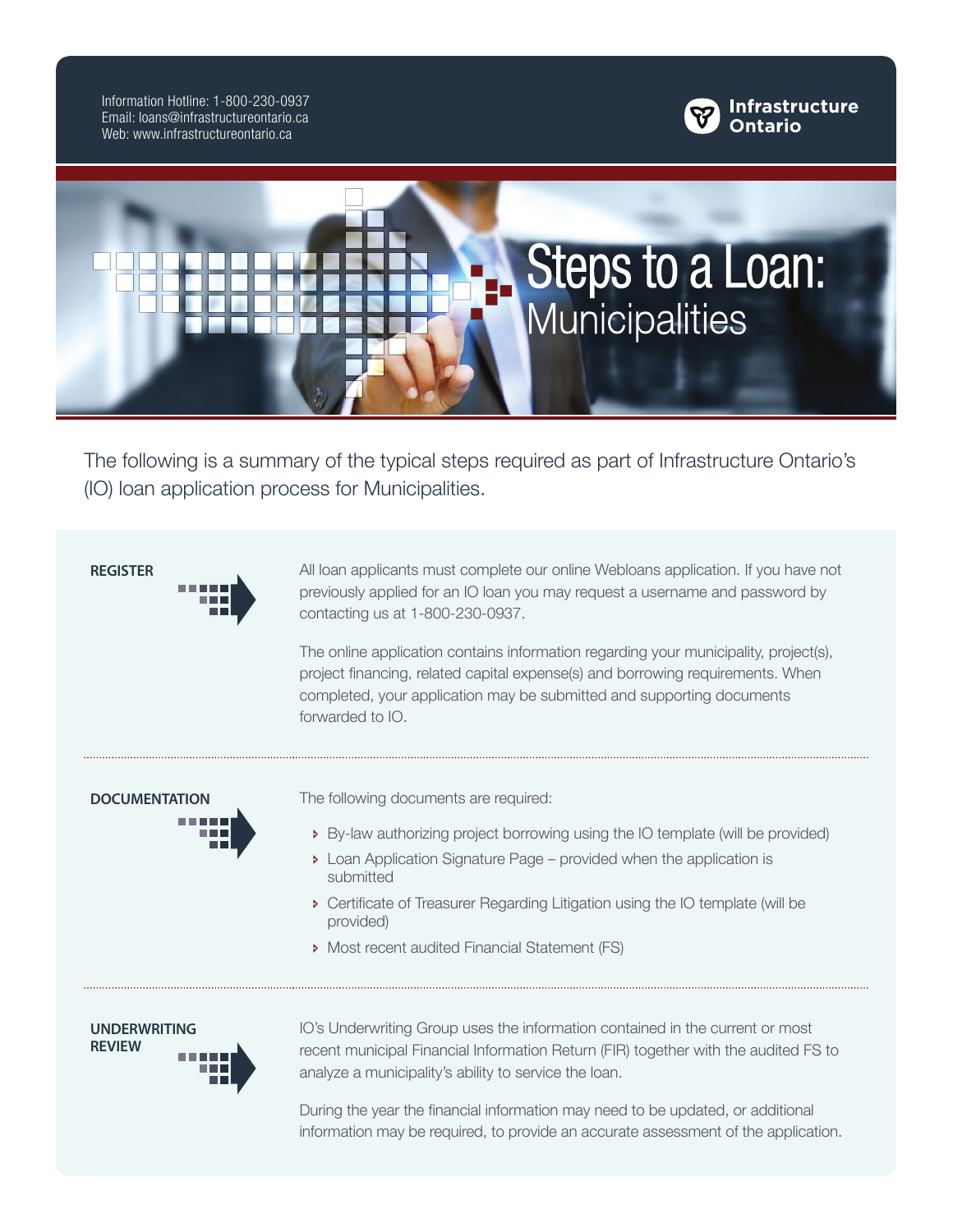Information Hotline: 1-800-230-0937 Email: loans@infrastructureontario.ca Web: www.infrastructureontario.ca





The following is a summary of the typical steps required as part of Infrastructure Ontario's (IO) loan application process for Municipalities.

**REGISTER** All loan applicants must complete our online Webloans application. If you have not previously applied for an IO loan you may request a username and password by contacting us at 1-800-230-0937.

> The online application contains information regarding your municipality, project(s), project financing, related capital expense(s) and borrowing requirements. When completed, your application may be submitted and supporting documents forwarded to IO.

**DOCUMENTATION** The following documents are required:

- Ð By-law authorizing project borrowing using the IO template (will be provided)
- **Example 20** Loan Application Signature Page provided when the application is submitted
- Ð Certificate of Treasurer Regarding Litigation using the IO template (will be provided)
- Ð Most recent audited Financial Statement (FS)

**UNDERWRITING REVIEW**

IO's Underwriting Group uses the information contained in the current or most recent municipal Financial Information Return (FIR) together with the audited FS to analyze a municipality's ability to service the loan.

During the year the financial information may need to be updated, or additional information may be required, to provide an accurate assessment of the application.